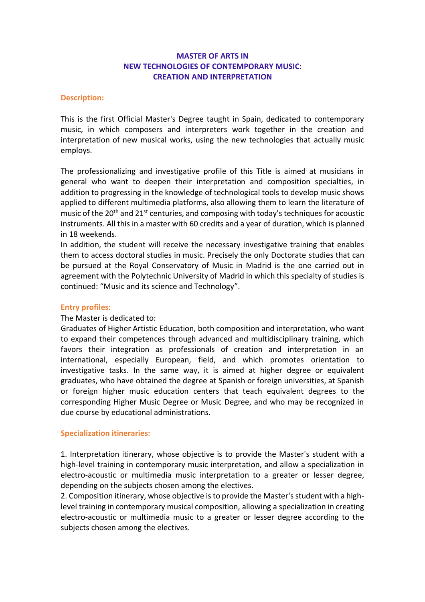# **MASTER OF ARTS IN NEW TECHNOLOGIES OF CONTEMPORARY MUSIC: CREATION AND INTERPRETATION**

### **Description:**

This is the first Official Master's Degree taught in Spain, dedicated to contemporary music, in which composers and interpreters work together in the creation and interpretation of new musical works, using the new technologies that actually music employs.

The professionalizing and investigative profile of this Title is aimed at musicians in general who want to deepen their interpretation and composition specialties, in addition to progressing in the knowledge of technological tools to develop music shows applied to different multimedia platforms, also allowing them to learn the literature of music of the 20<sup>th</sup> and 21<sup>st</sup> centuries, and composing with today's techniques for acoustic instruments. All this in a master with 60 credits and a year of duration, which is planned in 18 weekends.

In addition, the student will receive the necessary investigative training that enables them to access doctoral studies in music. Precisely the only Doctorate studies that can be pursued at the Royal Conservatory of Music in Madrid is the one carried out in agreement with the Polytechnic University of Madrid in which this specialty of studies is continued: "Music and its science and Technology".

## **Entry profiles:**

#### The Master is dedicated to:

Graduates of Higher Artistic Education, both composition and interpretation, who want to expand their competences through advanced and multidisciplinary training, which favors their integration as professionals of creation and interpretation in an international, especially European, field, and which promotes orientation to investigative tasks. In the same way, it is aimed at higher degree or equivalent graduates, who have obtained the degree at Spanish or foreign universities, at Spanish or foreign higher music education centers that teach equivalent degrees to the corresponding Higher Music Degree or Music Degree, and who may be recognized in due course by educational administrations.

#### **Specialization itineraries:**

1. Interpretation itinerary, whose objective is to provide the Master's student with a high-level training in contemporary music interpretation, and allow a specialization in electro-acoustic or multimedia music interpretation to a greater or lesser degree, depending on the subjects chosen among the electives.

2. Composition itinerary, whose objective is to provide the Master's student with a highlevel training in contemporary musical composition, allowing a specialization in creating electro-acoustic or multimedia music to a greater or lesser degree according to the subjects chosen among the electives.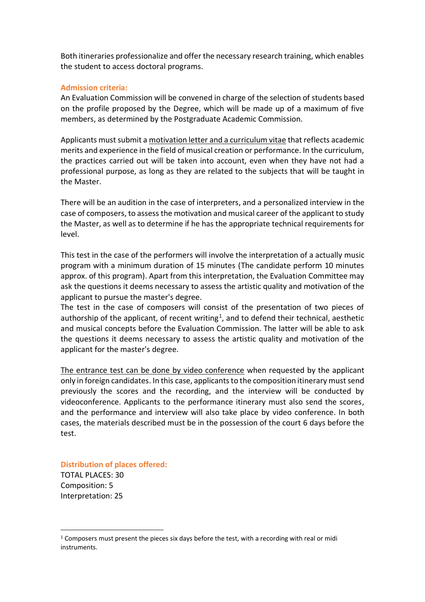Both itineraries professionalize and offer the necessary research training, which enables the student to access doctoral programs.

# **Admission criteria:**

An Evaluation Commission will be convened in charge of the selection of students based on the profile proposed by the Degree, which will be made up of a maximum of five members, as determined by the Postgraduate Academic Commission.

Applicants must submit a motivation letter and a curriculum vitae that reflects academic merits and experience in the field of musical creation or performance. In the curriculum, the practices carried out will be taken into account, even when they have not had a professional purpose, as long as they are related to the subjects that will be taught in the Master.

There will be an audition in the case of interpreters, and a personalized interview in the case of composers, to assess the motivation and musical career of the applicant to study the Master, as well as to determine if he has the appropriate technical requirements for level.

This test in the case of the performers will involve the interpretation of a actually music program with a minimum duration of 15 minutes (The candidate perform 10 minutes approx. of this program). Apart from this interpretation, the Evaluation Committee may ask the questions it deems necessary to assess the artistic quality and motivation of the applicant to pursue the master's degree.

The test in the case of composers will consist of the presentation of two pieces of authorship of the applicant, of recent writing<sup>1</sup>, and to defend their technical, aesthetic and musical concepts before the Evaluation Commission. The latter will be able to ask the questions it deems necessary to assess the artistic quality and motivation of the applicant for the master's degree.

The entrance test can be done by video conference when requested by the applicant only in foreign candidates. In this case, applicants to the composition itinerary must send previously the scores and the recording, and the interview will be conducted by videoconference. Applicants to the performance itinerary must also send the scores, and the performance and interview will also take place by video conference. In both cases, the materials described must be in the possession of the court 6 days before the test.

**Distribution of places offered:**

TOTAL PLACES: 30 Composition: 5 Interpretation: 25

 $1$  Composers must present the pieces six days before the test, with a recording with real or midi instruments.